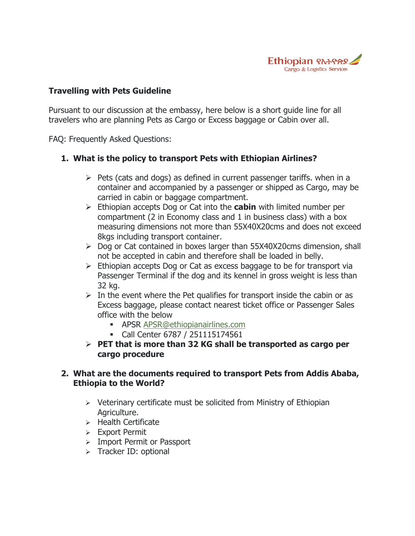

#### **Travelling with Pets Guideline**

Pursuant to our discussion at the embassy, here below is a short guide line for all travelers who are planning Pets as Cargo or Excess baggage or Cabin over all.

FAQ: Frequently Asked Questions:

### **1. What is the policy to transport Pets with Ethiopian Airlines?**

- $\triangleright$  Pets (cats and dogs) as defined in current passenger tariffs. when in a container and accompanied by a passenger or shipped as Cargo, may be carried in cabin or baggage compartment.
- Ethiopian accepts Dog or Cat into the **cabin** with limited number per compartment (2 in Economy class and 1 in business class) with a box measuring dimensions not more than 55X40X20cms and does not exceed 8kgs including transport container.
- $\triangleright$  Dog or Cat contained in boxes larger than 55X40X20cms dimension, shall not be accepted in cabin and therefore shall be loaded in belly.
- $\triangleright$  Ethiopian accepts Dog or Cat as excess baggage to be for transport via Passenger Terminal if the dog and its kennel in gross weight is less than 32 kg.
- $\triangleright$  In the event where the Pet qualifies for transport inside the cabin or as Excess baggage, please contact nearest ticket office or Passenger Sales office with the below
	- **APSR [APSR@ethiopianairlines.com](mailto:APSR@ethiopianairlines.com)**
	- Call Center 6787 / 251115174561
- **PET that is more than 32 KG shall be transported as cargo per cargo procedure**

### **2. What are the documents required to transport Pets from Addis Ababa, Ethiopia to the World?**

- $\triangleright$  Veterinary certificate must be solicited from Ministry of Ethiopian Agriculture.
- $\triangleright$  Health Certificate
- Export Permit
- $\triangleright$  Import Permit or Passport
- $\triangleright$  Tracker ID: optional